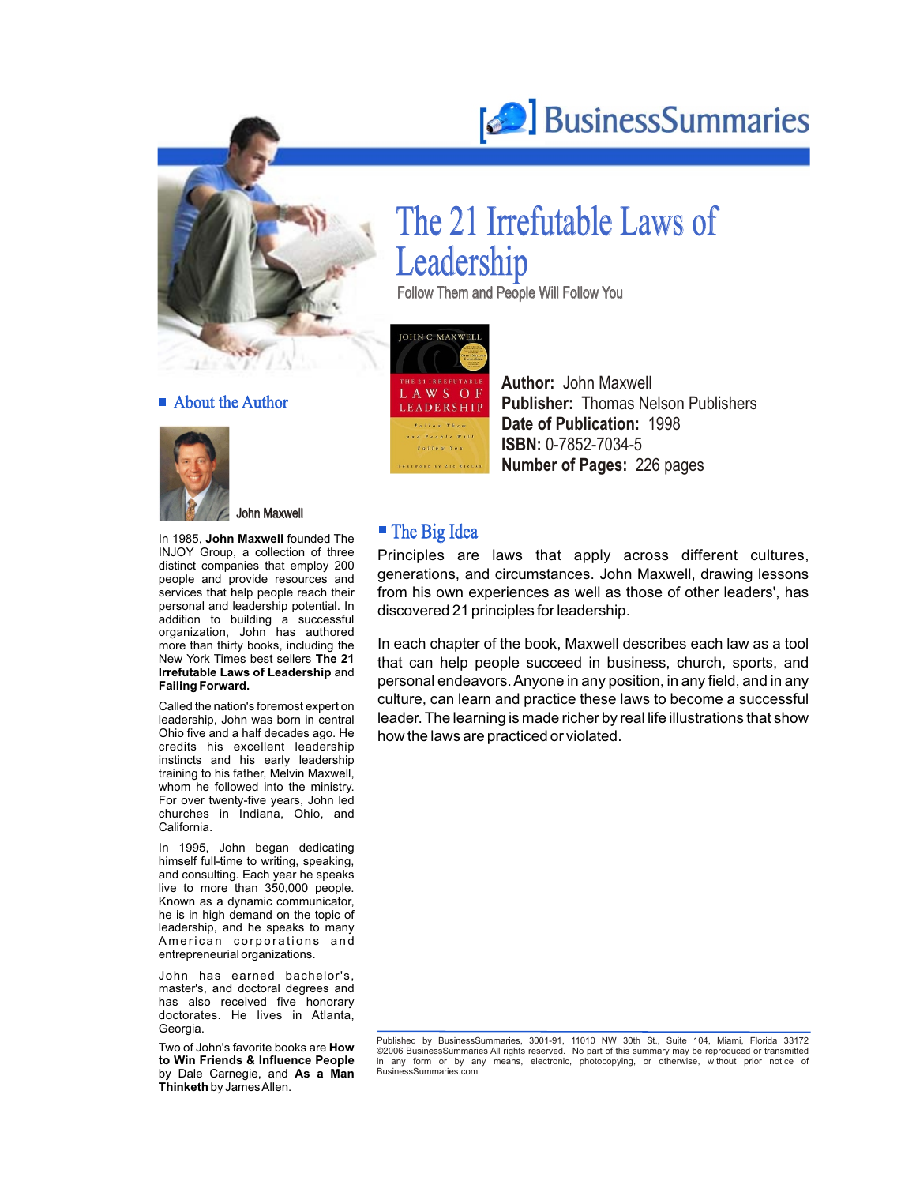

■ About the Author



In 1985, **John Maxwell** founded The INJOY Group, a collection of three distinct companies that employ 200 people and provide resources and services that help people reach their personal and leadership potential. In addition to building a successful organization, John has authored more than thirty books, including the New York Times best sellers **The 21 Irrefutable Laws of Leadership** and **Failing Forward.**

Called the nation's foremost expert on leadership, John was born in central Ohio five and a half decades ago. He credits his excellent leadership instincts and his early leadership training to his father, Melvin Maxwell, whom he followed into the ministry. For over twenty-five years, John led churches in Indiana, Ohio, and California.

In 1995, John began dedicating himself full-time to writing, speaking, and consulting. Each year he speaks live to more than 350,000 people. Known as a dynamic communicator, he is in high demand on the topic of leadership, and he speaks to many American corporations and entrepreneurial organizations.

John has earned bachelor's, master's, and doctoral degrees and has also received five honorary doctorates. He lives in Atlanta, Georgia.

Two of John's favorite books are **How to Win Friends & Influence People** by Dale Carnegie, and **As a Man Thinketh** by James Allen.

# **BusinessSummaries**

## The 21 Irrefutable Laws of The 21 Irrefutable Laws of Leadership

Follow Them and People Will Follow You



**Author:** John Maxwell **Publisher:** Thomas Nelson Publishers **Date of Publication:** 1998 **ISBN:** 0-7852-7034-5 **Number of Pages:** 226 pages

## ■ The Big Idea

Principles are laws that apply across different cultures, generations, and circumstances. John Maxwell, drawing lessons from his own experiences as well as those of other leaders', has discovered 21 principles for leadership.

In each chapter of the book, Maxwell describes each law as a tool that can help people succeed in business, church, sports, and personal endeavors. Anyone in any position, in any field, and in any culture, can learn and practice these laws to become a successful leader. The learning is made richer by real life illustrations that show how the laws are practiced or violated.

Published by BusinessSummaries, 3001-91, 11010 NW 30th St., Suite 104, Miami, Florida 33172 ©2006 BusinessSummaries All rights reserved. No part of this summary may be reproduced or transmitted in any form or by any means, electronic, photocopying, or otherwise, without prior notice of BusinessSummaries.com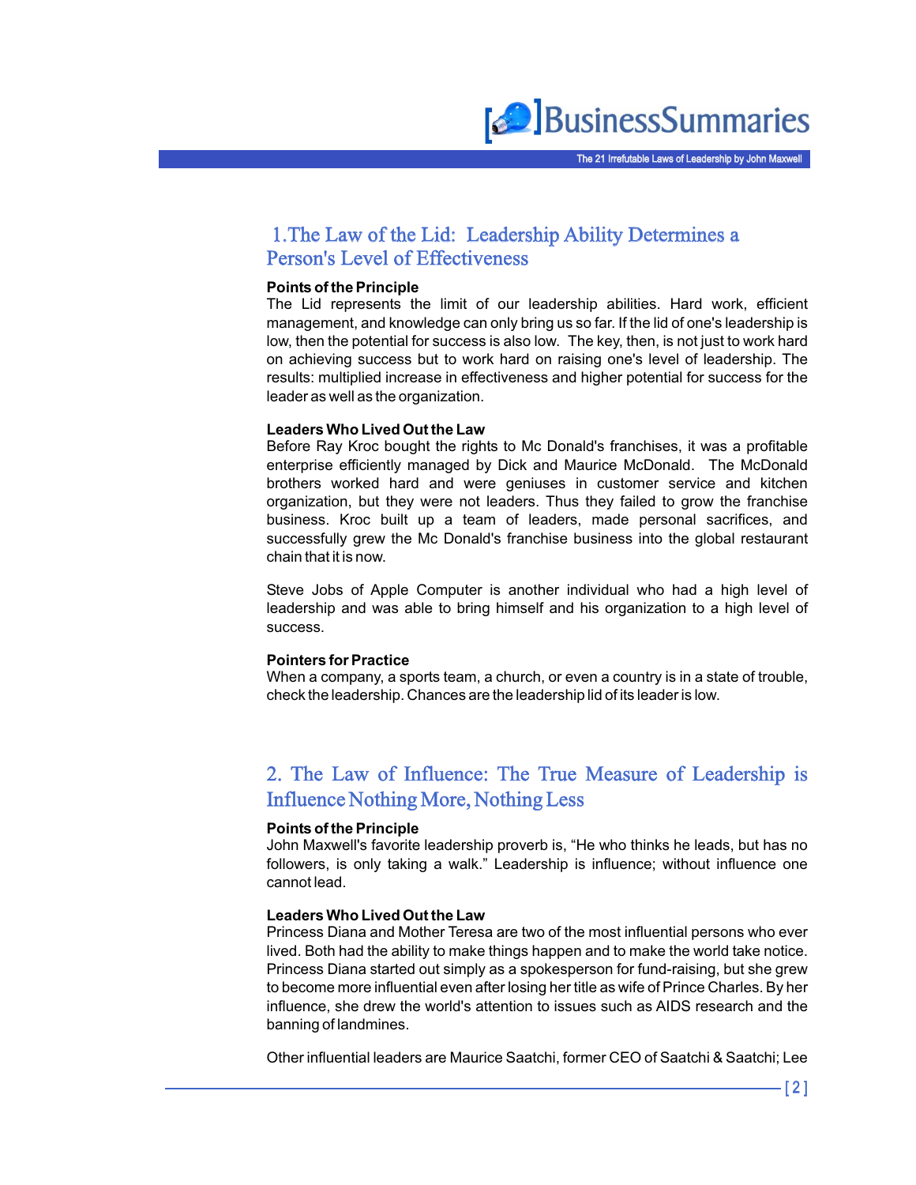

## 1.The Law of the Lid: Leadership Ability Determines a Person's Level of Effectiveness

#### **Points of the Principle**

The Lid represents the limit of our leadership abilities. Hard work, efficient management, and knowledge can only bring us so far. If the lid of one's leadership is low, then the potential for success is also low. The key, then, is not just to work hard on achieving success but to work hard on raising one's level of leadership. The results: multiplied increase in effectiveness and higher potential for success for the leader as well as the organization.

#### **Leaders Who Lived Out the Law**

Before Ray Kroc bought the rights to Mc Donald's franchises, it was a profitable enterprise efficiently managed by Dick and Maurice McDonald. The McDonald brothers worked hard and were geniuses in customer service and kitchen organization, but they were not leaders. Thus they failed to grow the franchise business. Kroc built up a team of leaders, made personal sacrifices, and successfully grew the Mc Donald's franchise business into the global restaurant chain that it is now.

Steve Jobs of Apple Computer is another individual who had a high level of leadership and was able to bring himself and his organization to a high level of success.

#### **Pointers for Practice**

When a company, a sports team, a church, or even a country is in a state of trouble, check the leadership. Chances are the leadership lid of its leader is low.

## 2. The Law of Influence: The True Measure of Leadership is Influence Nothing More, Nothing Less

#### **Points of the Principle**

John Maxwell's favorite leadership proverb is, "He who thinks he leads, but has no followers, is only taking a walk." Leadership is influence; without influence one cannot lead.

#### **Leaders Who Lived Out the Law**

Princess Diana and Mother Teresa are two of the most influential persons who ever lived. Both had the ability to make things happen and to make the world take notice. Princess Diana started out simply as a spokesperson for fund-raising, but she grew to become more influential even after losing her title as wife of Prince Charles. By her influence, she drew the world's attention to issues such as AIDS research and the banning of landmines.

Other influential leaders are Maurice Saatchi, former CEO of Saatchi & Saatchi; Lee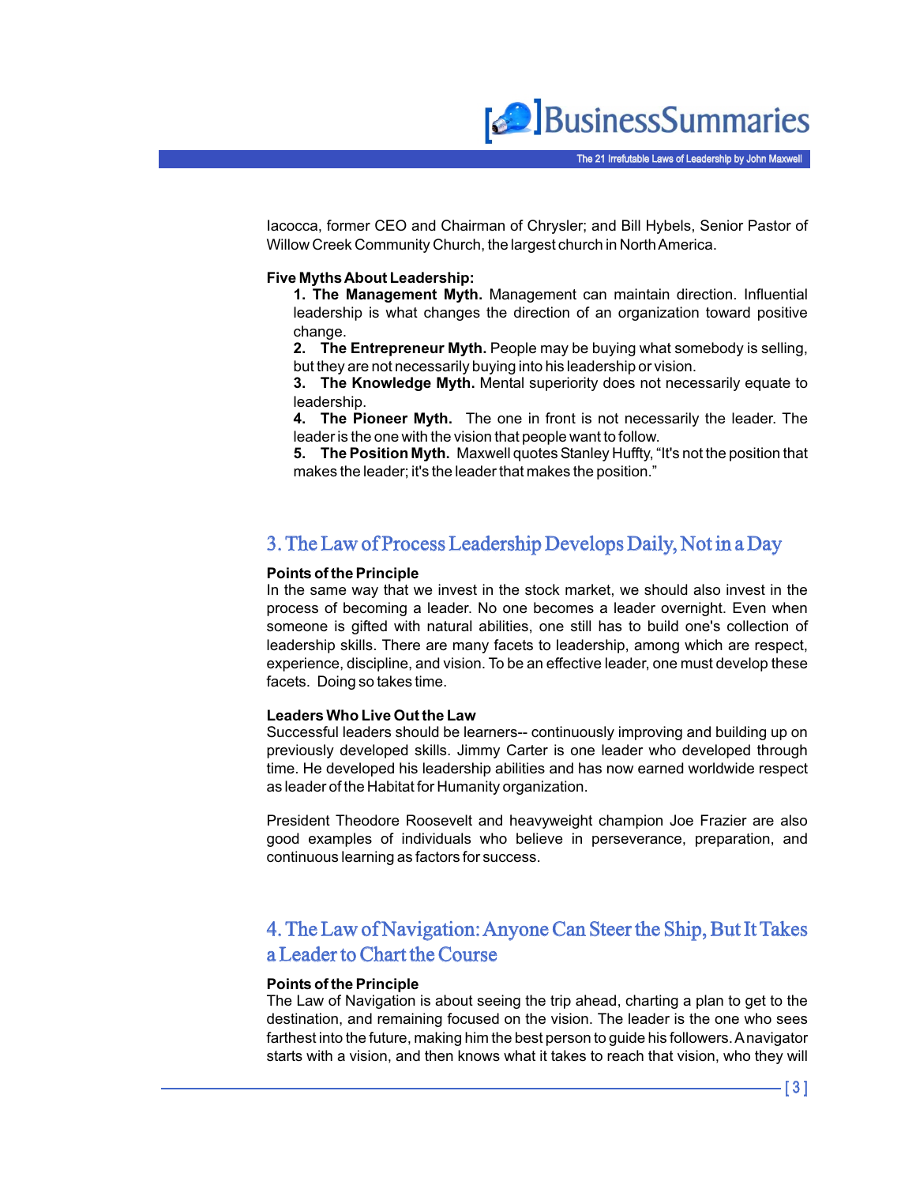BusinessSummaries

The 21 Irrefutable Laws of Leadership by John Maxwell

Iacocca, former CEO and Chairman of Chrysler; and Bill Hybels, Senior Pastor of Willow Creek Community Church, the largest church in North America.

#### **Five Myths About Leadership:**

**1. The Management Myth.** Management can maintain direction. Influential leadership is what changes the direction of an organization toward positive change.

**2. The Entrepreneur Myth.** People may be buying what somebody is selling, but they are not necessarily buying into his leadership or vision.

**3. The Knowledge Myth.** Mental superiority does not necessarily equate to leadership.

**4. The Pioneer Myth.** The one in front is not necessarily the leader. The leader is the one with the vision that people want to follow.

**5. The Position Myth.** Maxwell quotes Stanley Huffty, "It's not the position that makes the leader; it's the leader that makes the position."

## 3. The Law of Process Leadership Develops Daily, Not in a Day

#### **Points of the Principle**

In the same way that we invest in the stock market, we should also invest in the process of becoming a leader. No one becomes a leader overnight. Even when someone is gifted with natural abilities, one still has to build one's collection of leadership skills. There are many facets to leadership, among which are respect, experience, discipline, and vision. To be an effective leader, one must develop these facets. Doing so takes time.

#### **Leaders Who Live Out the Law**

Successful leaders should be learners-- continuously improving and building up on previously developed skills. Jimmy Carter is one leader who developed through time. He developed his leadership abilities and has now earned worldwide respect as leader of the Habitat for Humanity organization.

President Theodore Roosevelt and heavyweight champion Joe Frazier are also good examples of individuals who believe in perseverance, preparation, and continuous learning as factors for success.

## 4. The Law of Navigation: Anyone Can Steer the Ship, But It Takes a Leader to Chart the Course

#### **Points of the Principle**

The Law of Navigation is about seeing the trip ahead, charting a plan to get to the destination, and remaining focused on the vision. The leader is the one who sees farthest into the future, making him the best person to guide his followers. A navigator starts with a vision, and then knows what it takes to reach that vision, who they will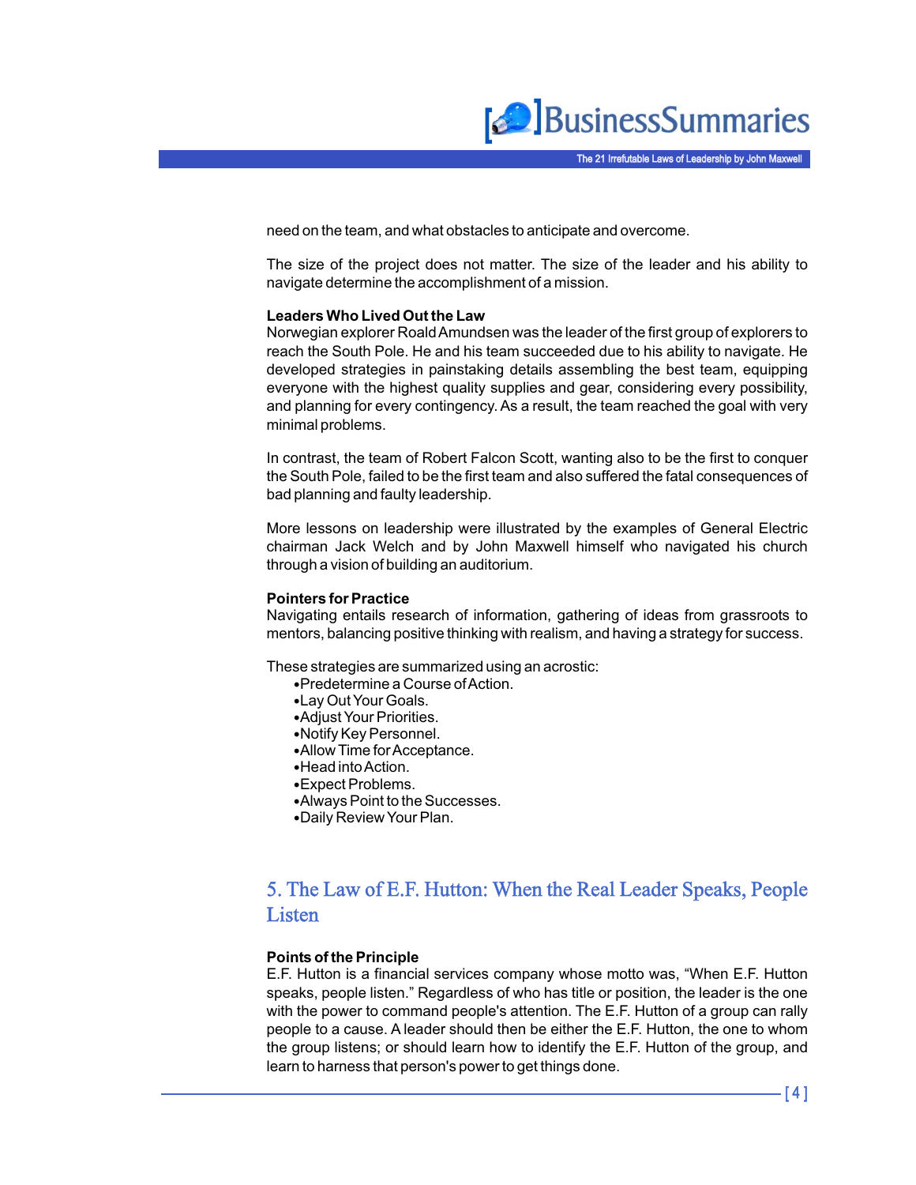

need on the team, and what obstacles to anticipate and overcome.

The size of the project does not matter. The size of the leader and his ability to navigate determine the accomplishment of a mission.

#### **Leaders Who Lived Out the Law**

Norwegian explorer Roald Amundsen was the leader of the first group of explorers to reach the South Pole. He and his team succeeded due to his ability to navigate. He developed strategies in painstaking details assembling the best team, equipping everyone with the highest quality supplies and gear, considering every possibility, and planning for every contingency. As a result, the team reached the goal with very minimal problems.

In contrast, the team of Robert Falcon Scott, wanting also to be the first to conquer the South Pole, failed to be the first team and also suffered the fatal consequences of bad planning and faulty leadership.

More lessons on leadership were illustrated by the examples of General Electric chairman Jack Welch and by John Maxwell himself who navigated his church through a vision of building an auditorium.

#### **Pointers for Practice**

Navigating entails research of information, gathering of ideas from grassroots to mentors, balancing positive thinking with realism, and having a strategy for success.

These strategies are summarized using an acrostic:

- Predetermine a Course of Action.
- Lay Out Your Goals.
- Adjust Your Priorities.
- Notify Key Personnel.
- Allow Time for Acceptance.
- Head into Action.
- Expect Problems.
- Always Point to the Successes.
- Daily Review Your Plan.

## 5. The Law of E.F. Hutton: When the Real Leader Speaks, People Listen

#### **Points of the Principle**

E.F. Hutton is a financial services company whose motto was, "When E.F. Hutton speaks, people listen." Regardless of who has title or position, the leader is the one with the power to command people's attention. The E.F. Hutton of a group can rally people to a cause. A leader should then be either the E.F. Hutton, the one to whom the group listens; or should learn how to identify the E.F. Hutton of the group, and learn to harness that person's power to get things done.

 $[4]$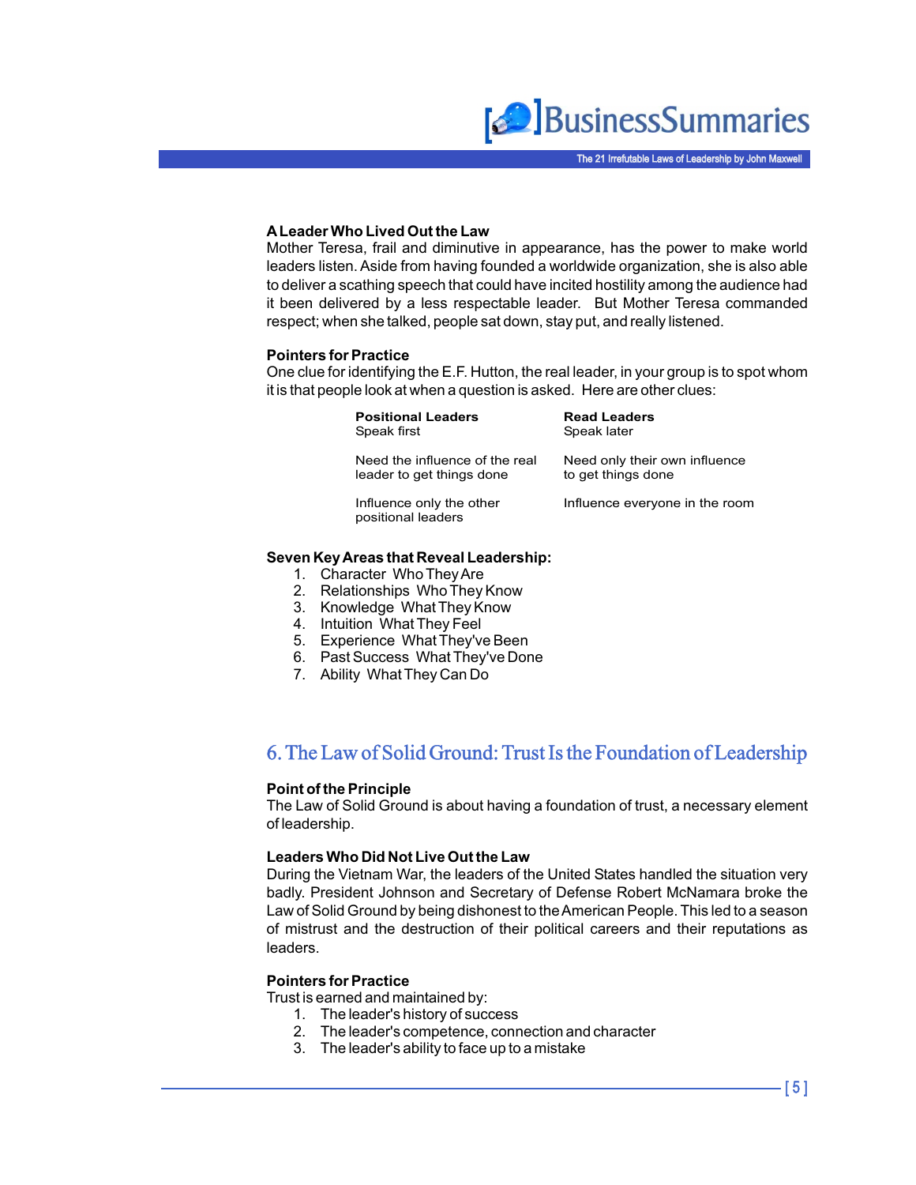

#### **A Leader Who Lived Out the Law**

Mother Teresa, frail and diminutive in appearance, has the power to make world leaders listen. Aside from having founded a worldwide organization, she is also able to deliver a scathing speech that could have incited hostility among the audience had it been delivered by a less respectable leader. But Mother Teresa commanded respect; when she talked, people sat down, stay put, and really listened.

#### **Pointers for Practice**

One clue for identifying the E.F. Hutton, the real leader, in your group is to spot whom it is that people look at when a question is asked. Here are other clues:

| <b>Positional Leaders</b>                      | <b>Read Leaders</b>            |
|------------------------------------------------|--------------------------------|
| Speak first                                    | Speak later                    |
| Need the influence of the real                 | Need only their own influence  |
| leader to get things done                      | to get things done             |
| Influence only the other<br>positional leaders | Influence everyone in the room |

#### **Seven Key Areas that Reveal Leadership:**

- 1. Character Who They Are
- 2. Relationships Who They Know
- 3. Knowledge What They Know
- 4. Intuition What They Feel
- 5. Experience What They've Been
- 6. Past Success What They've Done
- 7. Ability What They Can Do

## 6. The Law of Solid Ground: Trust Is the Foundation of Leadership

#### **Point of the Principle**

The Law of Solid Ground is about having a foundation of trust, a necessary element of leadership.

#### **Leaders Who Did Not Live Out the Law**

During the Vietnam War, the leaders of the United States handled the situation very badly. President Johnson and Secretary of Defense Robert McNamara broke the Law of Solid Ground by being dishonest to the American People. This led to a season of mistrust and the destruction of their political careers and their reputations as leaders.

#### **Pointers for Practice**

Trust is earned and maintained by:

- 1. The leader's history of success
- 2. The leader's competence, connection and character
- 3. The leader's ability to face up to a mistake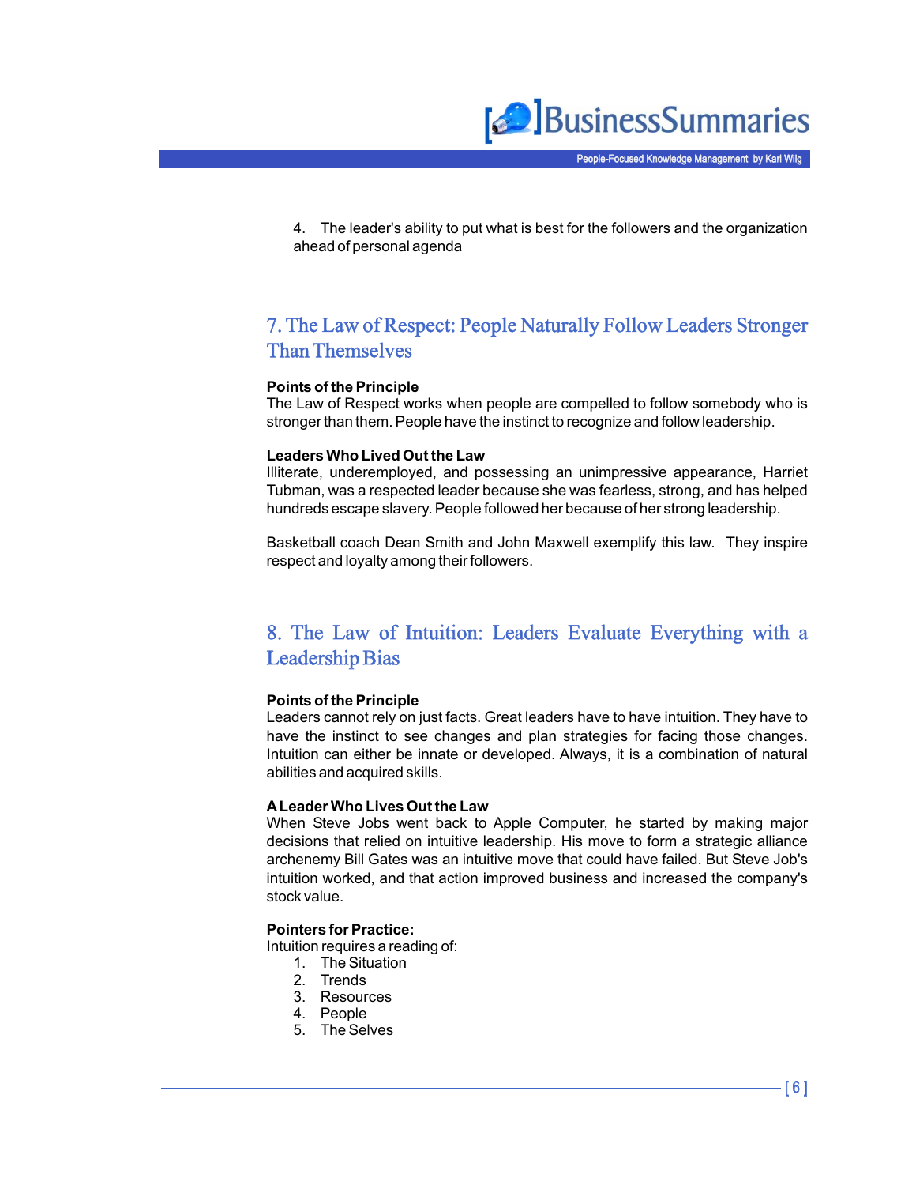

People-Focused Knowledge Management by Karl Wiig

4. The leader's ability to put what is best for the followers and the organization ahead of personal agenda

## 7. The Law of Respect: People Naturally Follow Leaders Stronger Than Themselves

#### **Points of the Principle**

The Law of Respect works when people are compelled to follow somebody who is stronger than them. People have the instinct to recognize and follow leadership.

#### **Leaders Who Lived Out the Law**

Illiterate, underemployed, and possessing an unimpressive appearance, Harriet Tubman, was a respected leader because she was fearless, strong, and has helped hundreds escape slavery. People followed her because of her strong leadership.

Basketball coach Dean Smith and John Maxwell exemplify this law. They inspire respect and loyalty among their followers.

## 8. The Law of Intuition: Leaders Evaluate Everything with a Leadership Bias

#### **Points of the Principle**

Leaders cannot rely on just facts. Great leaders have to have intuition. They have to have the instinct to see changes and plan strategies for facing those changes. Intuition can either be innate or developed. Always, it is a combination of natural abilities and acquired skills.

#### **A Leader Who Lives Out the Law**

When Steve Jobs went back to Apple Computer, he started by making major decisions that relied on intuitive leadership. His move to form a strategic alliance archenemy Bill Gates was an intuitive move that could have failed. But Steve Job's intuition worked, and that action improved business and increased the company's stock value.

#### **Pointers for Practice:**

Intuition requires a reading of:

- 1. The Situation
- 2. Trends
- 3. Resources
- 4. People
- 5. The Selves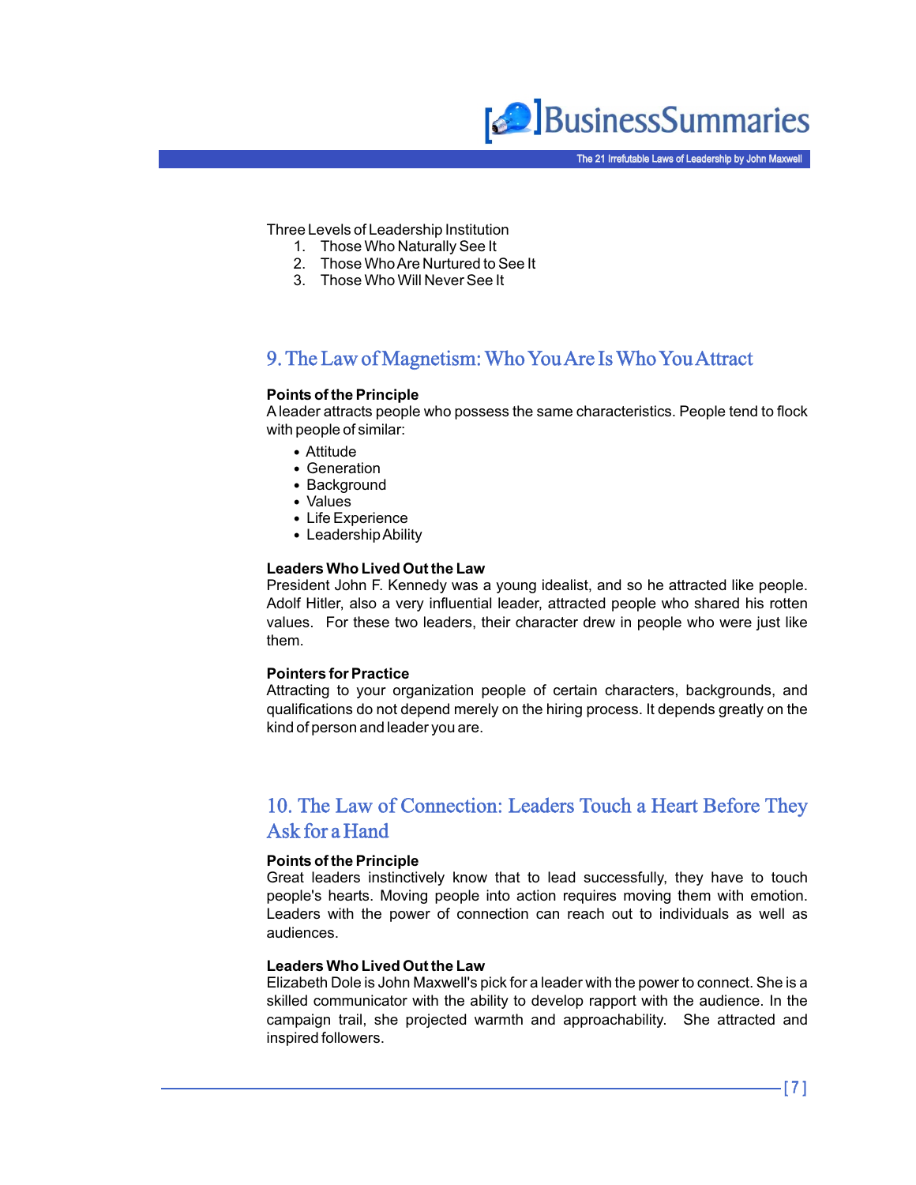

Three Levels of Leadership Institution

- 1. Those Who Naturally See It
- 2. Those Who Are Nurtured to See It
- 3. Those Who Will Never See It

## 9. The Law of Magnetism: Who You Are Is Who You Attract

#### **Points of the Principle**

A leader attracts people who possess the same characteristics. People tend to flock with people of similar:

- Attitude
- Generation
- Background
- Values
- Life Experience
- Leadership Ability

#### **Leaders Who Lived Out the Law**

President John F. Kennedy was a young idealist, and so he attracted like people. Adolf Hitler, also a very influential leader, attracted people who shared his rotten values. For these two leaders, their character drew in people who were just like them.

#### **Pointers for Practice**

Attracting to your organization people of certain characters, backgrounds, and qualifications do not depend merely on the hiring process. It depends greatly on the kind of person and leader you are.

## 10. The Law of Connection: Leaders Touch a Heart Before They Ask for a Hand

#### **Points of the Principle**

Great leaders instinctively know that to lead successfully, they have to touch people's hearts. Moving people into action requires moving them with emotion. Leaders with the power of connection can reach out to individuals as well as audiences.

#### **Leaders Who Lived Out the Law**

Elizabeth Dole is John Maxwell's pick for a leader with the power to connect. She is a skilled communicator with the ability to develop rapport with the audience. In the campaign trail, she projected warmth and approachability. She attracted and inspired followers.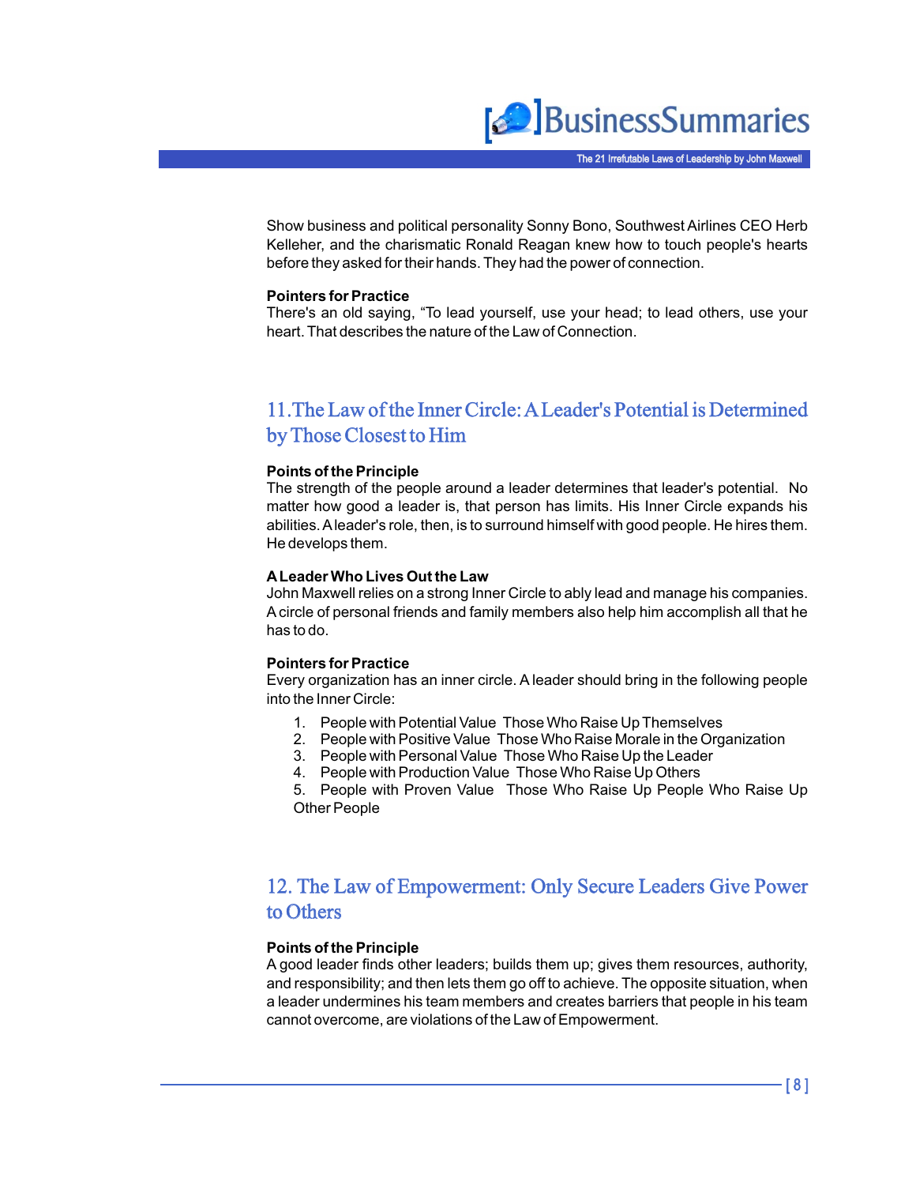BusinessSummaries

The 21 Irrefutable Laws of Leadership by John Maxwell

Show business and political personality Sonny Bono, Southwest Airlines CEO Herb Kelleher, and the charismatic Ronald Reagan knew how to touch people's hearts before they asked for their hands. They had the power of connection.

#### **Pointers for Practice**

There's an old saying, "To lead yourself, use your head; to lead others, use your heart. That describes the nature of the Law of Connection.

## 11.The Law of the Inner Circle: A Leader's Potential is Determined by Those Closest to Him

#### **Points of the Principle**

The strength of the people around a leader determines that leader's potential. No matter how good a leader is, that person has limits. His Inner Circle expands his abilities. A leader's role, then, is to surround himself with good people. He hires them. He develops them.

#### **A Leader Who Lives Out the Law**

John Maxwell relies on a strong Inner Circle to ably lead and manage his companies. A circle of personal friends and family members also help him accomplish all that he has to do.

#### **Pointers for Practice**

Every organization has an inner circle. A leader should bring in the following people into the Inner Circle:

- 1. People with Potential Value Those Who Raise Up Themselves
- 2. People with Positive Value Those Who Raise Morale in the Organization
- 3. People with Personal Value Those Who Raise Up the Leader
- 4. People with Production Value Those Who Raise Up Others

5. People with Proven Value Those Who Raise Up People Who Raise Up Other People

## 12. The Law of Empowerment: Only Secure Leaders Give Power to Others

#### **Points of the Principle**

A good leader finds other leaders; builds them up; gives them resources, authority, and responsibility; and then lets them go off to achieve. The opposite situation, when a leader undermines his team members and creates barriers that people in his team cannot overcome, are violations of the Law of Empowerment.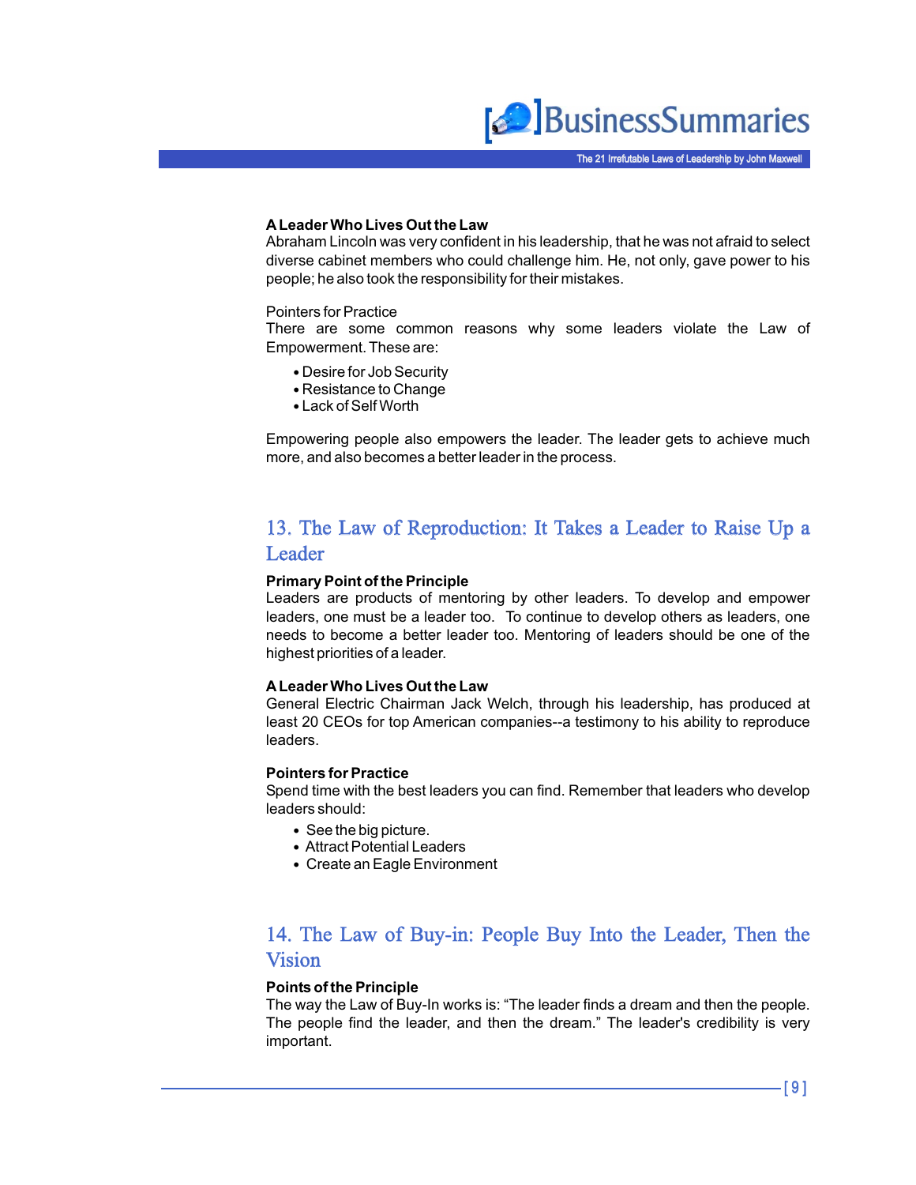

#### **A Leader Who Lives Out the Law**

Abraham Lincoln was very confident in his leadership, that he was not afraid to select diverse cabinet members who could challenge him. He, not only, gave power to his people; he also took the responsibility for their mistakes.

#### Pointers for Practice

There are some common reasons why some leaders violate the Law of Empowerment. These are:

- Desire for Job Security
- Resistance to Change
- Lack of Self Worth

Empowering people also empowers the leader. The leader gets to achieve much more, and also becomes a better leader in the process.

## 13. The Law of Reproduction: It Takes a Leader to Raise Up a Leader

#### **Primary Point of the Principle**

Leaders are products of mentoring by other leaders. To develop and empower leaders, one must be a leader too. To continue to develop others as leaders, one needs to become a better leader too. Mentoring of leaders should be one of the highest priorities of a leader.

#### **A Leader Who Lives Out the Law**

General Electric Chairman Jack Welch, through his leadership, has produced at least 20 CEOs for top American companies--a testimony to his ability to reproduce leaders.

#### **Pointers for Practice**

Spend time with the best leaders you can find. Remember that leaders who develop leaders should:

- See the big picture.
- Attract Potential Leaders
- Create an Eagle Environment

## 14. The Law of Buy-in: People Buy Into the Leader, Then the Vision

#### **Points of the Principle**

The way the Law of Buy-In works is: "The leader finds a dream and then the people. The people find the leader, and then the dream." The leader's credibility is very important.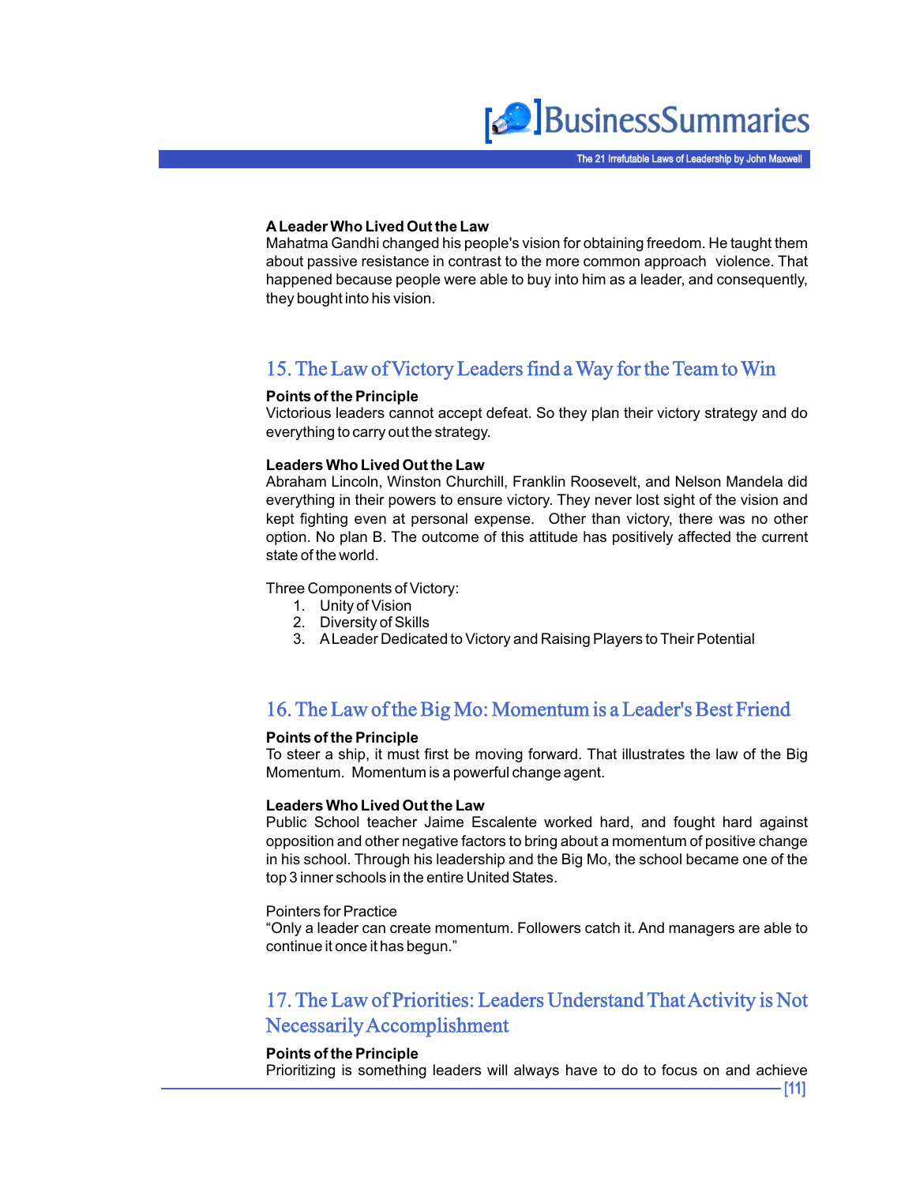

#### **A Leader Who Lived Out the Law**

Mahatma Gandhi changed his people's vision for obtaining freedom. He taught them about passive resistance in contrast to the more common approach violence. That happened because people were able to buy into him as a leader, and consequently, they bought into his vision.

## 15. The Law of Victory Leaders find a Way for the Team to Win

#### **Points of the Principle**

Victorious leaders cannot accept defeat. So they plan their victory strategy and do everything to carry out the strategy.

#### **Leaders Who Lived Out the Law**

Abraham Lincoln, Winston Churchill, Franklin Roosevelt, and Nelson Mandela did everything in their powers to ensure victory. They never lost sight of the vision and kept fighting even at personal expense. Other than victory, there was no other option. No plan B. The outcome of this attitude has positively affected the current state of the world.

Three Components of Victory:

- 1. Unity of Vision
- 2. Diversity of Skills
- 3. A Leader Dedicated to Victory and Raising Players to Their Potential

## 16. The Law of the Big Mo: Momentum is a Leader's Best Friend

#### **Points of the Principle**

To steer a ship, it must first be moving forward. That illustrates the law of the Big Momentum. Momentum is a powerful change agent.

#### **Leaders Who Lived Out the Law**

Public School teacher Jaime Escalente worked hard, and fought hard against opposition and other negative factors to bring about a momentum of positive change in his school. Through his leadership and the Big Mo, the school became one of the top 3 inner schools in the entire United States.

#### Pointers for Practice

"Only a leader can create momentum. Followers catch it. And managers are able to continue it once it has begun."

## 17. The Law of Priorities: Leaders Understand That Activity is Not Necessarily Accomplishment

#### **Points of the Principle**

Prioritizing is something leaders will always have to do to focus on and achieve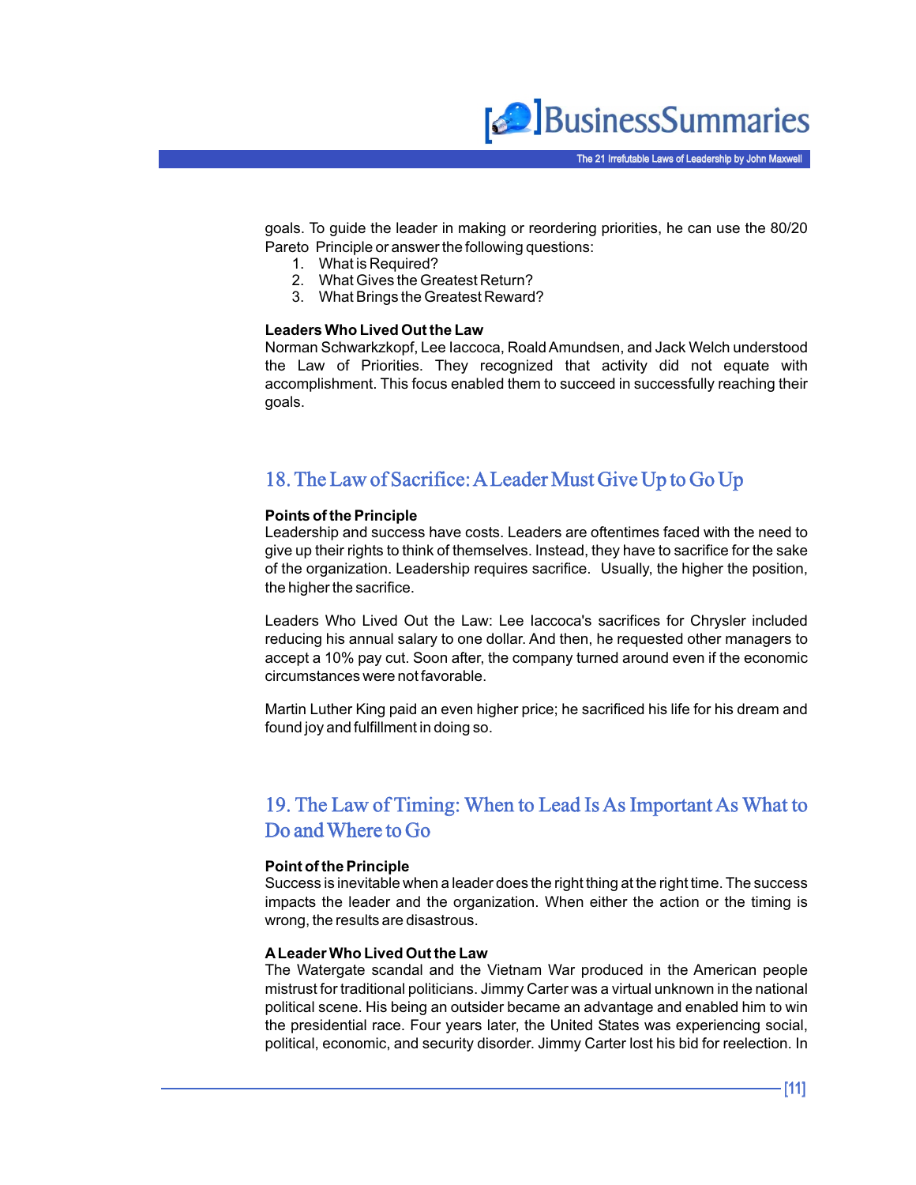

goals. To guide the leader in making or reordering priorities, he can use the 80/20 Pareto Principle or answer the following questions:

- 1. What is Required?
- 2. What Gives the Greatest Return?
- 3. What Brings the Greatest Reward?

#### **Leaders Who Lived Out the Law**

Norman Schwarkzkopf, Lee Iaccoca, Roald Amundsen, and Jack Welch understood the Law of Priorities. They recognized that activity did not equate with accomplishment. This focus enabled them to succeed in successfully reaching their goals.

## 18. The Law of Sacrifice: A Leader Must Give Up to Go Up

#### **Points of the Principle**

Leadership and success have costs. Leaders are oftentimes faced with the need to give up their rights to think of themselves. Instead, they have to sacrifice for the sake of the organization. Leadership requires sacrifice. Usually, the higher the position, the higher the sacrifice.

Leaders Who Lived Out the Law: Lee Iaccoca's sacrifices for Chrysler included reducing his annual salary to one dollar. And then, he requested other managers to accept a 10% pay cut. Soon after, the company turned around even if the economic circumstances were not favorable.

Martin Luther King paid an even higher price; he sacrificed his life for his dream and found joy and fulfillment in doing so.

## 19. The Law of Timing: When to Lead Is As Important As What to Do and Where to Go

#### **Point of the Principle**

Success is inevitable when a leader does the right thing at the right time. The success impacts the leader and the organization. When either the action or the timing is wrong, the results are disastrous.

#### **A Leader Who Lived Out the Law**

The Watergate scandal and the Vietnam War produced in the American people mistrust for traditional politicians. Jimmy Carter was a virtual unknown in the national political scene. His being an outsider became an advantage and enabled him to win the presidential race. Four years later, the United States was experiencing social, political, economic, and security disorder. Jimmy Carter lost his bid for reelection. In